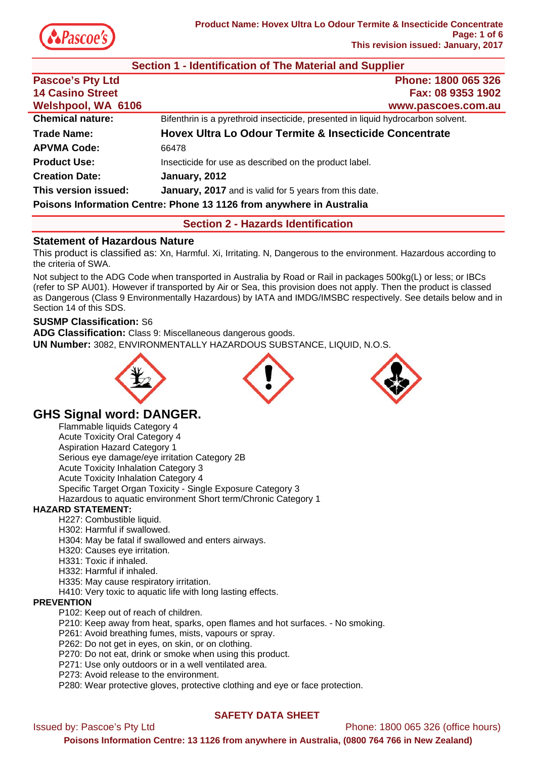

| Section 1 - Identification of The Material and Supplier              |                                                                                  |  |
|----------------------------------------------------------------------|----------------------------------------------------------------------------------|--|
| <b>Pascoe's Pty Ltd</b>                                              | Phone: 1800 065 326                                                              |  |
| <b>14 Casino Street</b>                                              | Fax: 08 9353 1902                                                                |  |
| <b>Welshpool, WA 6106</b>                                            | www.pascoes.com.au                                                               |  |
| <b>Chemical nature:</b>                                              | Bifenthrin is a pyrethroid insecticide, presented in liquid hydrocarbon solvent. |  |
| <b>Trade Name:</b>                                                   | Hovex Ultra Lo Odour Termite & Insecticide Concentrate                           |  |
| <b>APVMA Code:</b>                                                   | 66478                                                                            |  |
| <b>Product Use:</b>                                                  | Insecticide for use as described on the product label.                           |  |
| <b>Creation Date:</b>                                                | January, 2012                                                                    |  |
| This version issued:                                                 | <b>January, 2017</b> and is valid for 5 years from this date.                    |  |
| Poisons Information Centre: Phone 13 1126 from anywhere in Australia |                                                                                  |  |

# **Section 2 - Hazards Identification**

# **Statement of Hazardous Nature**

This product is classified as: Xn, Harmful. Xi, Irritating. N, Dangerous to the environment. Hazardous according to the criteria of SWA.

Not subject to the ADG Code when transported in Australia by Road or Rail in packages 500kg(L) or less; or IBCs (refer to SP AU01). However if transported by Air or Sea, this provision does not apply. Then the product is classed as Dangerous (Class 9 Environmentally Hazardous) by IATA and IMDG/IMSBC respectively. See details below and in Section 14 of this SDS.

## **SUSMP Classification:** S6

**ADG Classification:** Class 9: Miscellaneous dangerous goods. **UN Number:** 3082, ENVIRONMENTALLY HAZARDOUS SUBSTANCE, LIQUID, N.O.S.







# **GHS Signal word: DANGER.**

Flammable liquids Category 4 Acute Toxicity Oral Category 4 Aspiration Hazard Category 1 Serious eye damage/eye irritation Category 2B Acute Toxicity Inhalation Category 3 Acute Toxicity Inhalation Category 4 Specific Target Organ Toxicity - Single Exposure Category 3 Hazardous to aquatic environment Short term/Chronic Category 1

# **HAZARD STATEMENT:**

- H227: Combustible liquid.
- H302: Harmful if swallowed.
- H304: May be fatal if swallowed and enters airways.
- H320: Causes eye irritation.
- H331: Toxic if inhaled.
- H332: Harmful if inhaled.
- H335: May cause respiratory irritation.
- H410: Very toxic to aquatic life with long lasting effects.

## **PREVENTION**

- P102: Keep out of reach of children.
- P210: Keep away from heat, sparks, open flames and hot surfaces. No smoking.
- P261: Avoid breathing fumes, mists, vapours or spray.
- P262: Do not get in eyes, on skin, or on clothing.
- P270: Do not eat, drink or smoke when using this product.
- P271: Use only outdoors or in a well ventilated area.
- P273: Avoid release to the environment.
- P280: Wear protective gloves, protective clothing and eye or face protection.

# **SAFETY DATA SHEET**

Issued by: Pascoe's Pty Ltd Phone: 1800 065 326 (office hours)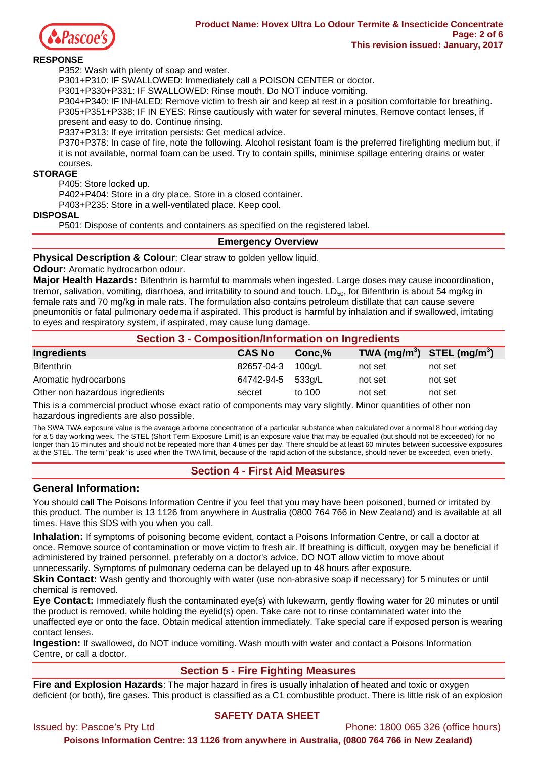

### **RESPONSE**

P352: Wash with plenty of soap and water.

P301+P310: IF SWALLOWED: Immediately call a POISON CENTER or doctor.

P301+P330+P331: IF SWALLOWED: Rinse mouth. Do NOT induce vomiting.

P304+P340: IF INHALED: Remove victim to fresh air and keep at rest in a position comfortable for breathing. P305+P351+P338: IF IN EYES: Rinse cautiously with water for several minutes. Remove contact lenses, if present and easy to do. Continue rinsing.

P337+P313: If eye irritation persists: Get medical advice.

P370+P378: In case of fire, note the following. Alcohol resistant foam is the preferred firefighting medium but, if it is not available, normal foam can be used. Try to contain spills, minimise spillage entering drains or water courses.

### **STORAGE**

P405: Store locked up.

P402+P404: Store in a dry place. Store in a closed container.

P403+P235: Store in a well-ventilated place. Keep cool.

#### **DISPOSAL**

P501: Dispose of contents and containers as specified on the registered label.

## **Emergency Overview**

**Physical Description & Colour**: Clear straw to golden yellow liquid.

**Odour:** Aromatic hydrocarbon odour.

**Major Health Hazards:** Bifenthrin is harmful to mammals when ingested. Large doses may cause incoordination, tremor, salivation, vomiting, diarrhoea, and irritability to sound and touch.  $LD_{50}$ , for Bifenthrin is about 54 mg/kg in female rats and 70 mg/kg in male rats. The formulation also contains petroleum distillate that can cause severe pneumonitis or fatal pulmonary oedema if aspirated. This product is harmful by inhalation and if swallowed, irritating to eyes and respiratory system, if aspirated, may cause lung damage.

| <b>Section 3 - Composition/Information on Ingredients</b> |               |        |                                |         |  |
|-----------------------------------------------------------|---------------|--------|--------------------------------|---------|--|
| Ingredients                                               | <b>CAS No</b> | Conc.% | TWA $(mg/m^3)$ STEL $(mg/m^3)$ |         |  |
| <b>Bifenthrin</b>                                         | 82657-04-3    | 100a/L | not set                        | not set |  |
| Aromatic hydrocarbons                                     | 64742-94-5    | 533g/L | not set                        | not set |  |
| Other non hazardous ingredients                           | secret        | to 100 | not set                        | not set |  |

This is a commercial product whose exact ratio of components may vary slightly. Minor quantities of other non hazardous ingredients are also possible.

The SWA TWA exposure value is the average airborne concentration of a particular substance when calculated over a normal 8 hour working day for a 5 day working week. The STEL (Short Term Exposure Limit) is an exposure value that may be equalled (but should not be exceeded) for no longer than 15 minutes and should not be repeated more than 4 times per day. There should be at least 60 minutes between successive exposures at the STEL. The term "peak "is used when the TWA limit, because of the rapid action of the substance, should never be exceeded, even briefly.

## **Section 4 - First Aid Measures**

# **General Information:**

You should call The Poisons Information Centre if you feel that you may have been poisoned, burned or irritated by this product. The number is 13 1126 from anywhere in Australia (0800 764 766 in New Zealand) and is available at all times. Have this SDS with you when you call.

**Inhalation:** If symptoms of poisoning become evident, contact a Poisons Information Centre, or call a doctor at once. Remove source of contamination or move victim to fresh air. If breathing is difficult, oxygen may be beneficial if administered by trained personnel, preferably on a doctor's advice. DO NOT allow victim to move about unnecessarily. Symptoms of pulmonary oedema can be delayed up to 48 hours after exposure.

**Skin Contact:** Wash gently and thoroughly with water (use non-abrasive soap if necessary) for 5 minutes or until chemical is removed.

**Eye Contact:** Immediately flush the contaminated eye(s) with lukewarm, gently flowing water for 20 minutes or until the product is removed, while holding the eyelid(s) open. Take care not to rinse contaminated water into the unaffected eye or onto the face. Obtain medical attention immediately. Take special care if exposed person is wearing contact lenses.

**Ingestion:** If swallowed, do NOT induce vomiting. Wash mouth with water and contact a Poisons Information Centre, or call a doctor.

# **Section 5 - Fire Fighting Measures**

**Fire and Explosion Hazards**: The major hazard in fires is usually inhalation of heated and toxic or oxygen deficient (or both), fire gases. This product is classified as a C1 combustible product. There is little risk of an explosion

# **SAFETY DATA SHEET**

Issued by: Pascoe's Pty Ltd **Phone: 1800 065 326** (office hours)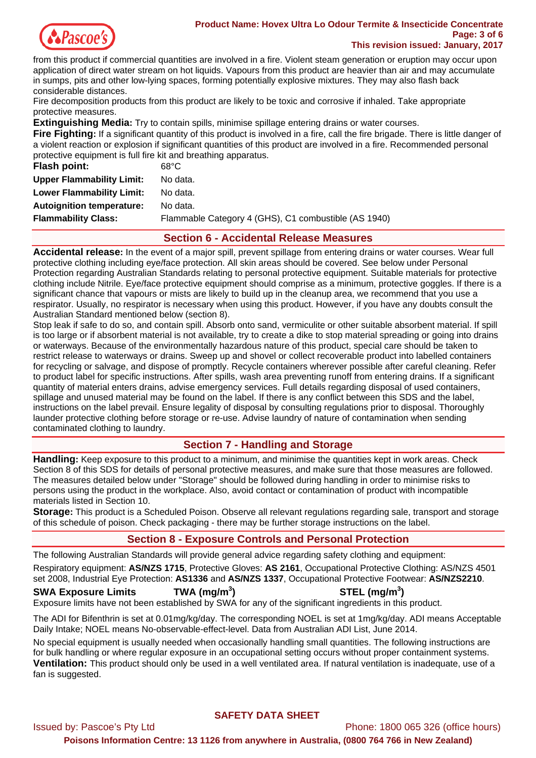

#### **Product Name: Hovex Ultra Lo Odour Termite & Insecticide Concentrate Page: 3 of 6 This revision issued: January, 2017**

from this product if commercial quantities are involved in a fire. Violent steam generation or eruption may occur upon application of direct water stream on hot liquids. Vapours from this product are heavier than air and may accumulate in sumps, pits and other low-lying spaces, forming potentially explosive mixtures. They may also flash back considerable distances.

Fire decomposition products from this product are likely to be toxic and corrosive if inhaled. Take appropriate protective measures.

**Extinguishing Media:** Try to contain spills, minimise spillage entering drains or water courses.

**Fire Fighting:** If a significant quantity of this product is involved in a fire, call the fire brigade. There is little danger of a violent reaction or explosion if significant quantities of this product are involved in a fire. Recommended personal protective equipment is full fire kit and breathing apparatus.

| <b>Flash point:</b>              | 68°C                                                 |
|----------------------------------|------------------------------------------------------|
| <b>Upper Flammability Limit:</b> | No data.                                             |
| <b>Lower Flammability Limit:</b> | No data.                                             |
| <b>Autoignition temperature:</b> | No data.                                             |
| <b>Flammability Class:</b>       | Flammable Category 4 (GHS), C1 combustible (AS 1940) |
|                                  |                                                      |

# **Section 6 - Accidental Release Measures**

**Accidental release:** In the event of a major spill, prevent spillage from entering drains or water courses. Wear full protective clothing including eye/face protection. All skin areas should be covered. See below under Personal Protection regarding Australian Standards relating to personal protective equipment. Suitable materials for protective clothing include Nitrile. Eye/face protective equipment should comprise as a minimum, protective goggles. If there is a significant chance that vapours or mists are likely to build up in the cleanup area, we recommend that you use a respirator. Usually, no respirator is necessary when using this product. However, if you have any doubts consult the Australian Standard mentioned below (section 8).

Stop leak if safe to do so, and contain spill. Absorb onto sand, vermiculite or other suitable absorbent material. If spill is too large or if absorbent material is not available, try to create a dike to stop material spreading or going into drains or waterways. Because of the environmentally hazardous nature of this product, special care should be taken to restrict release to waterways or drains. Sweep up and shovel or collect recoverable product into labelled containers for recycling or salvage, and dispose of promptly. Recycle containers wherever possible after careful cleaning. Refer to product label for specific instructions. After spills, wash area preventing runoff from entering drains. If a significant quantity of material enters drains, advise emergency services. Full details regarding disposal of used containers, spillage and unused material may be found on the label. If there is any conflict between this SDS and the label, instructions on the label prevail. Ensure legality of disposal by consulting regulations prior to disposal. Thoroughly launder protective clothing before storage or re-use. Advise laundry of nature of contamination when sending contaminated clothing to laundry.

# **Section 7 - Handling and Storage**

**Handling:** Keep exposure to this product to a minimum, and minimise the quantities kept in work areas. Check Section 8 of this SDS for details of personal protective measures, and make sure that those measures are followed. The measures detailed below under "Storage" should be followed during handling in order to minimise risks to persons using the product in the workplace. Also, avoid contact or contamination of product with incompatible materials listed in Section 10.

**Storage:** This product is a Scheduled Poison. Observe all relevant regulations regarding sale, transport and storage of this schedule of poison. Check packaging - there may be further storage instructions on the label.

# **Section 8 - Exposure Controls and Personal Protection**

The following Australian Standards will provide general advice regarding safety clothing and equipment:

Respiratory equipment: **AS/NZS 1715**, Protective Gloves: **AS 2161**, Occupational Protective Clothing: AS/NZS 4501 set 2008, Industrial Eye Protection: **AS1336** and **AS/NZS 1337**, Occupational Protective Footwear: **AS/NZS2210**.

# **SWA Exposure Limits TWA (mg/m<sup>3</sup>**

# **) STEL (mg/m<sup>3</sup> )**

Exposure limits have not been established by SWA for any of the significant ingredients in this product.

The ADI for Bifenthrin is set at 0.01mg/kg/day. The corresponding NOEL is set at 1mg/kg/day. ADI means Acceptable Daily Intake; NOEL means No-observable-effect-level. Data from Australian ADI List, June 2014.

No special equipment is usually needed when occasionally handling small quantities. The following instructions are for bulk handling or where regular exposure in an occupational setting occurs without proper containment systems. **Ventilation:** This product should only be used in a well ventilated area. If natural ventilation is inadequate, use of a fan is suggested.

# **SAFETY DATA SHEET**

Issued by: Pascoe's Pty Ltd Phone: 1800 065 326 (office hours) **Poisons Information Centre: 13 1126 from anywhere in Australia, (0800 764 766 in New Zealand)**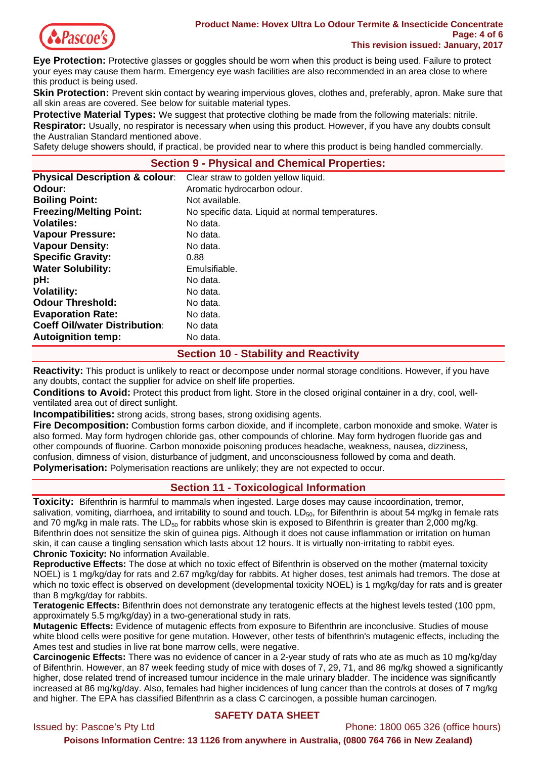

**Eye Protection:** Protective glasses or goggles should be worn when this product is being used. Failure to protect your eyes may cause them harm. Emergency eye wash facilities are also recommended in an area close to where this product is being used.

**Skin Protection:** Prevent skin contact by wearing impervious gloves, clothes and, preferably, apron. Make sure that all skin areas are covered. See below for suitable material types.

**Protective Material Types:** We suggest that protective clothing be made from the following materials: nitrile.

**Respirator:** Usually, no respirator is necessary when using this product. However, if you have any doubts consult the Australian Standard mentioned above.

Safety deluge showers should, if practical, be provided near to where this product is being handled commercially.

## **Section 9 - Physical and Chemical Properties:**

| <b>Physical Description &amp; colour:</b> | Clear straw to golden yellow liquid.             |
|-------------------------------------------|--------------------------------------------------|
| Odour:                                    | Aromatic hydrocarbon odour.                      |
| <b>Boiling Point:</b>                     | Not available.                                   |
| <b>Freezing/Melting Point:</b>            | No specific data. Liquid at normal temperatures. |
| <b>Volatiles:</b>                         | No data.                                         |
| <b>Vapour Pressure:</b>                   | No data.                                         |
| <b>Vapour Density:</b>                    | No data.                                         |
| <b>Specific Gravity:</b>                  | 0.88                                             |
| <b>Water Solubility:</b>                  | Emulsifiable.                                    |
| pH:                                       | No data.                                         |
| <b>Volatility:</b>                        | No data.                                         |
| <b>Odour Threshold:</b>                   | No data.                                         |
| <b>Evaporation Rate:</b>                  | No data.                                         |
| <b>Coeff Oil/water Distribution:</b>      | No data                                          |
| <b>Autoignition temp:</b>                 | No data.                                         |

## **Section 10 - Stability and Reactivity**

**Reactivity:** This product is unlikely to react or decompose under normal storage conditions. However, if you have any doubts, contact the supplier for advice on shelf life properties.

**Conditions to Avoid:** Protect this product from light. Store in the closed original container in a dry, cool, wellventilated area out of direct sunlight.

**Incompatibilities:** strong acids, strong bases, strong oxidising agents.

**Fire Decomposition:** Combustion forms carbon dioxide, and if incomplete, carbon monoxide and smoke. Water is also formed. May form hydrogen chloride gas, other compounds of chlorine. May form hydrogen fluoride gas and other compounds of fluorine. Carbon monoxide poisoning produces headache, weakness, nausea, dizziness, confusion, dimness of vision, disturbance of judgment, and unconsciousness followed by coma and death. **Polymerisation:** Polymerisation reactions are unlikely; they are not expected to occur.

# **Section 11 - Toxicological Information**

**Toxicity:** Bifenthrin is harmful to mammals when ingested. Large doses may cause incoordination, tremor, salivation, vomiting, diarrhoea, and irritability to sound and touch.  $LD_{50}$ , for Bifenthrin is about 54 mg/kg in female rats and 70 mg/kg in male rats. The  $LD_{50}$  for rabbits whose skin is exposed to Bifenthrin is greater than 2,000 mg/kg. Bifenthrin does not sensitize the skin of guinea pigs. Although it does not cause inflammation or irritation on human skin, it can cause a tingling sensation which lasts about 12 hours. It is virtually non-irritating to rabbit eyes. **Chronic Toxicity:** No information Available.

**Reproductive Effects:** The dose at which no toxic effect of Bifenthrin is observed on the mother (maternal toxicity NOEL) is 1 mg/kg/day for rats and 2.67 mg/kg/day for rabbits. At higher doses, test animals had tremors. The dose at which no toxic effect is observed on development (developmental toxicity NOEL) is 1 mg/kg/day for rats and is greater than 8 mg/kg/day for rabbits.

**Teratogenic Effects:** Bifenthrin does not demonstrate any teratogenic effects at the highest levels tested (100 ppm, approximately 5.5 mg/kg/day) in a two-generational study in rats.

**Mutagenic Effects:** Evidence of mutagenic effects from exposure to Bifenthrin are inconclusive. Studies of mouse white blood cells were positive for gene mutation. However, other tests of bifenthrin's mutagenic effects, including the Ames test and studies in live rat bone marrow cells, were negative.

**Carcinogenic Effects:** There was no evidence of cancer in a 2-year study of rats who ate as much as 10 mg/kg/day of Bifenthrin. However, an 87 week feeding study of mice with doses of 7, 29, 71, and 86 mg/kg showed a significantly higher, dose related trend of increased tumour incidence in the male urinary bladder. The incidence was significantly increased at 86 mg/kg/day. Also, females had higher incidences of lung cancer than the controls at doses of 7 mg/kg and higher. The EPA has classified Bifenthrin as a class C carcinogen, a possible human carcinogen.

## **SAFETY DATA SHEET**

Issued by: Pascoe's Pty Ltd Phone: 1800 065 326 (office hours) **Poisons Information Centre: 13 1126 from anywhere in Australia, (0800 764 766 in New Zealand)**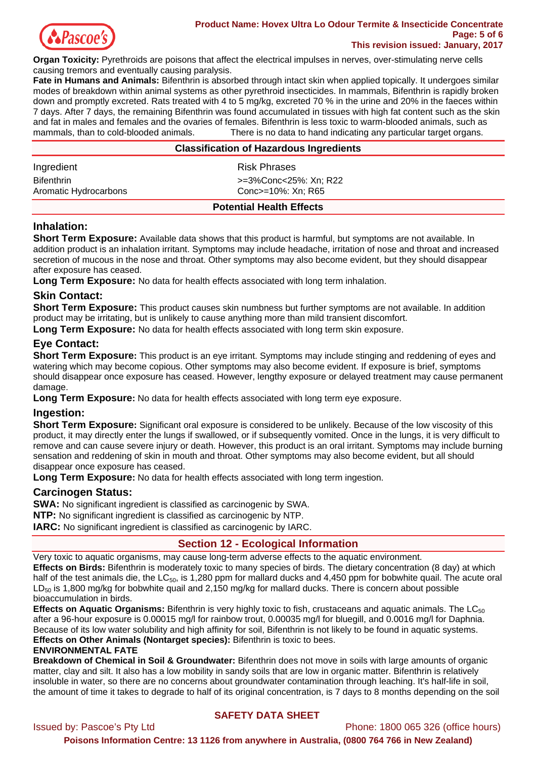

#### **Product Name: Hovex Ultra Lo Odour Termite & Insecticide Concentrate Page: 5 of 6 This revision issued: January, 2017**

**Organ Toxicity:** Pyrethroids are poisons that affect the electrical impulses in nerves, over-stimulating nerve cells causing tremors and eventually causing paralysis.

**Fate in Humans and Animals:** Bifenthrin is absorbed through intact skin when applied topically. It undergoes similar modes of breakdown within animal systems as other pyrethroid insecticides. In mammals, Bifenthrin is rapidly broken down and promptly excreted. Rats treated with 4 to 5 mg/kg, excreted 70 % in the urine and 20% in the faeces within 7 days. After 7 days, the remaining Bifenthrin was found accumulated in tissues with high fat content such as the skin and fat in males and females and the ovaries of females. Bifenthrin is less toxic to warm-blooded animals, such as mammals, than to cold-blooded animals. There is no data to hand indicating any particular target organs.

| <b>Classification of Hazardous Ingredients</b> |                       |  |
|------------------------------------------------|-----------------------|--|
| Ingredient                                     | Risk Phrases          |  |
| <b>Bifenthrin</b>                              | >=3%Conc<25%: Xn: R22 |  |
| Aromatic Hydrocarbons                          | Conc>=10%: Xn: R65    |  |
| <b>Potential Health Effects</b>                |                       |  |

# **Inhalation:**

**Short Term Exposure:** Available data shows that this product is harmful, but symptoms are not available. In addition product is an inhalation irritant. Symptoms may include headache, irritation of nose and throat and increased secretion of mucous in the nose and throat. Other symptoms may also become evident, but they should disappear after exposure has ceased.

**Long Term Exposure:** No data for health effects associated with long term inhalation.

# **Skin Contact:**

**Short Term Exposure:** This product causes skin numbness but further symptoms are not available. In addition product may be irritating, but is unlikely to cause anything more than mild transient discomfort.

**Long Term Exposure:** No data for health effects associated with long term skin exposure.

# **Eye Contact:**

**Short Term Exposure:** This product is an eye irritant. Symptoms may include stinging and reddening of eyes and watering which may become copious. Other symptoms may also become evident. If exposure is brief, symptoms should disappear once exposure has ceased. However, lengthy exposure or delayed treatment may cause permanent damage.

**Long Term Exposure:** No data for health effects associated with long term eye exposure.

# **Ingestion:**

**Short Term Exposure:** Significant oral exposure is considered to be unlikely. Because of the low viscosity of this product, it may directly enter the lungs if swallowed, or if subsequently vomited. Once in the lungs, it is very difficult to remove and can cause severe injury or death. However, this product is an oral irritant. Symptoms may include burning sensation and reddening of skin in mouth and throat. Other symptoms may also become evident, but all should disappear once exposure has ceased.

**Long Term Exposure:** No data for health effects associated with long term ingestion.

# **Carcinogen Status:**

**SWA:** No significant ingredient is classified as carcinogenic by SWA. **NTP:** No significant ingredient is classified as carcinogenic by NTP.

**IARC:** No significant ingredient is classified as carcinogenic by IARC.

# **Section 12 - Ecological Information**

Very toxic to aquatic organisms, may cause long-term adverse effects to the aquatic environment.

**Effects on Birds:** Bifenthrin is moderately toxic to many species of birds. The dietary concentration (8 day) at which half of the test animals die, the  $LC_{50}$ , is 1,280 ppm for mallard ducks and 4,450 ppm for bobwhite quail. The acute oral  $LD_{50}$  is 1,800 mg/kg for bobwhite quail and 2,150 mg/kg for mallard ducks. There is concern about possible bioaccumulation in birds.

**Effects on Aquatic Organisms:** Bifenthrin is very highly toxic to fish, crustaceans and aquatic animals. The LC<sub>50</sub> after a 96-hour exposure is 0.00015 mg/l for rainbow trout, 0.00035 mg/l for bluegill, and 0.0016 mg/l for Daphnia. Because of its low water solubility and high affinity for soil, Bifenthrin is not likely to be found in aquatic systems. **Effects on Other Animals (Nontarget species):** Bifenthrin is toxic to bees.

## **ENVIRONMENTAL FATE**

**Breakdown of Chemical in Soil & Groundwater:** Bifenthrin does not move in soils with large amounts of organic matter, clay and silt. It also has a low mobility in sandy soils that are low in organic matter. Bifenthrin is relatively insoluble in water, so there are no concerns about groundwater contamination through leaching. It's half-life in soil, the amount of time it takes to degrade to half of its original concentration, is 7 days to 8 months depending on the soil

# **SAFETY DATA SHEET**

Issued by: Pascoe's Pty Ltd Phone: 1800 065 326 (office hours)